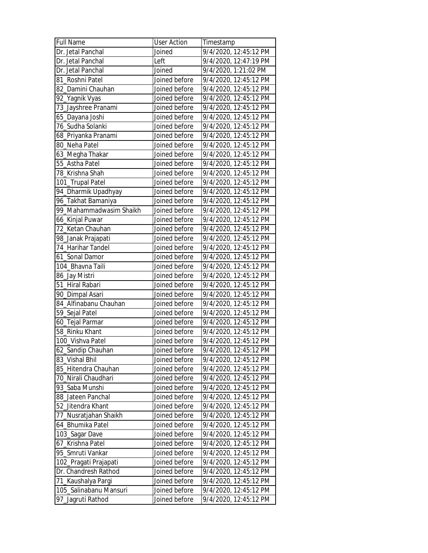| <b>Full Name</b>        | <b>User Action</b> | Timestamp             |
|-------------------------|--------------------|-----------------------|
| Dr. Jetal Panchal       | Joined             | 9/4/2020, 12:45:12 PM |
| Dr. Jetal Panchal       | Left               | 9/4/2020, 12:47:19 PM |
| Dr. Jetal Panchal       | Joined             | 9/4/2020, 1:21:02 PM  |
| 81_Roshni Patel         | Joined before      | 9/4/2020, 12:45:12 PM |
| 82_Damini Chauhan       | Joined before      | 9/4/2020, 12:45:12 PM |
| 92_Yagnik Vyas          | Joined before      | 9/4/2020, 12:45:12 PM |
| 73_Jayshree Pranami     | Joined before      | 9/4/2020, 12:45:12 PM |
| 65_Dayana Joshi         | Joined before      | 9/4/2020, 12:45:12 PM |
| 76_Sudha Solanki        | Joined before      | 9/4/2020, 12:45:12 PM |
| 68_Priyanka Pranami     | Joined before      | 9/4/2020, 12:45:12 PM |
| 80_Neha Patel           | Joined before      | 9/4/2020, 12:45:12 PM |
| 63_Megha Thakar         | Joined before      | 9/4/2020, 12:45:12 PM |
| 55_Astha Patel          | Joined before      | 9/4/2020, 12:45:12 PM |
| 78_Krishna Shah         | Joined before      | 9/4/2020, 12:45:12 PM |
| 101_Trupal Patel        | Joined before      | 9/4/2020, 12:45:12 PM |
| 94_Dharmik Upadhyay     | Joined before      | 9/4/2020, 12:45:12 PM |
| 96_Takhat Bamaniya      | Joined before      | 9/4/2020, 12:45:12 PM |
| 99_Mahammadwasim Shaikh | Joined before      | 9/4/2020, 12:45:12 PM |
| 66_Kinjal Puwar         | Joined before      | 9/4/2020, 12:45:12 PM |
| 72_Ketan Chauhan        | Joined before      | 9/4/2020, 12:45:12 PM |
| 98_Janak Prajapati      | Joined before      | 9/4/2020, 12:45:12 PM |
| 74_Harihar Tandel       | Joined before      | 9/4/2020, 12:45:12 PM |
| 61_Sonal Damor          | Joined before      | 9/4/2020, 12:45:12 PM |
| 104_Bhavna Taili        | Joined before      | 9/4/2020, 12:45:12 PM |
| 86_Jay Mistri           | Joined before      | 9/4/2020, 12:45:12 PM |
| 51 Hiral Rabari         | Joined before      | 9/4/2020, 12:45:12 PM |
| 90_Dimpal Asari         | Joined before      | 9/4/2020, 12:45:12 PM |
| 84_Alfinabanu Chauhan   | Joined before      | 9/4/2020, 12:45:12 PM |
| 59_Sejal Patel          | Joined before      | 9/4/2020, 12:45:12 PM |
| 60_Tejal Parmar         | Joined before      | 9/4/2020, 12:45:12 PM |
| 58 Rinku Khant          | Joined before      | 9/4/2020, 12:45:12 PM |
| 100_Vishva Patel        | Joined before      | 9/4/2020, 12:45:12 PM |
| 62_Sandip Chauhan       | Joined before      | 9/4/2020, 12:45:12 PM |
| 83_Vishal Bhil          | Joined before      | 9/4/2020, 12:45:12 PM |
| 85_Hitendra Chauhan     | Joined before      | 9/4/2020, 12:45:12 PM |
| 70_Nirali Chaudhari     | Joined before      | 9/4/2020, 12:45:12 PM |
| 93 Saba Munshi          | Joined before      | 9/4/2020, 12:45:12 PM |
| 88_Jateen Panchal       | Joined before      | 9/4/2020, 12:45:12 PM |
| 52_Jitendra Khant       | Joined before      | 9/4/2020, 12:45:12 PM |
| 77_Nusratjahan Shaikh   | Joined before      | 9/4/2020, 12:45:12 PM |
| 64_Bhumika Patel        | Joined before      | 9/4/2020, 12:45:12 PM |
| 103_Sagar Dave          | Joined before      | 9/4/2020, 12:45:12 PM |
| 67_Krishna Patel        | Joined before      | 9/4/2020, 12:45:12 PM |
| 95_Smruti Vankar        | Joined before      | 9/4/2020, 12:45:12 PM |
| 102_Pragati Prajapati   | Joined before      | 9/4/2020, 12:45:12 PM |
| Dr. Chandresh Rathod    | Joined before      | 9/4/2020, 12:45:12 PM |
| 71_Kaushalya Pargi      | Joined before      | 9/4/2020, 12:45:12 PM |
| 105_Salinabanu Mansuri  | Joined before      | 9/4/2020, 12:45:12 PM |
| 97_Jagruti Rathod       | Joined before      | 9/4/2020, 12:45:12 PM |